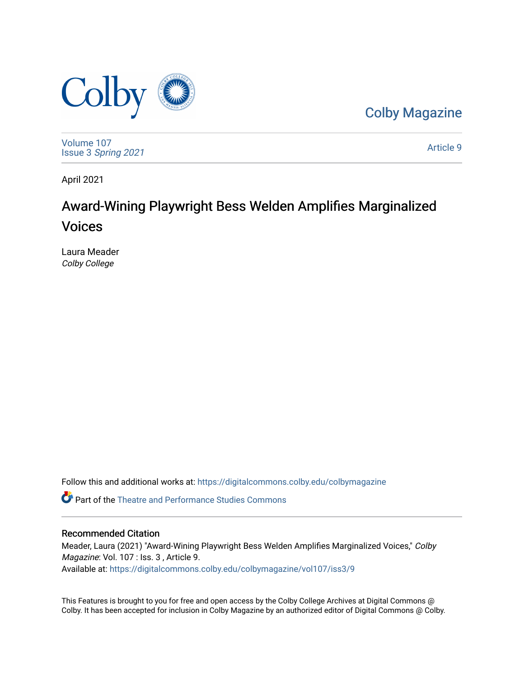

[Colby Magazine](https://digitalcommons.colby.edu/colbymagazine) 

[Volume 107](https://digitalcommons.colby.edu/colbymagazine/vol107) Issue 3 [Spring 2021](https://digitalcommons.colby.edu/colbymagazine/vol107/iss3) 

[Article 9](https://digitalcommons.colby.edu/colbymagazine/vol107/iss3/9) 

April 2021

## Award-Wining Playwright Bess Welden Amplifies Marginalized Voices

Laura Meader Colby College

Follow this and additional works at: [https://digitalcommons.colby.edu/colbymagazine](https://digitalcommons.colby.edu/colbymagazine?utm_source=digitalcommons.colby.edu%2Fcolbymagazine%2Fvol107%2Fiss3%2F9&utm_medium=PDF&utm_campaign=PDFCoverPages)

**C** Part of the Theatre and Performance Studies Commons

## Recommended Citation

Meader, Laura (2021) "Award-Wining Playwright Bess Welden Amplifies Marginalized Voices," Colby Magazine: Vol. 107 : Iss. 3 , Article 9. Available at: [https://digitalcommons.colby.edu/colbymagazine/vol107/iss3/9](https://digitalcommons.colby.edu/colbymagazine/vol107/iss3/9?utm_source=digitalcommons.colby.edu%2Fcolbymagazine%2Fvol107%2Fiss3%2F9&utm_medium=PDF&utm_campaign=PDFCoverPages) 

This Features is brought to you for free and open access by the Colby College Archives at Digital Commons @ Colby. It has been accepted for inclusion in Colby Magazine by an authorized editor of Digital Commons @ Colby.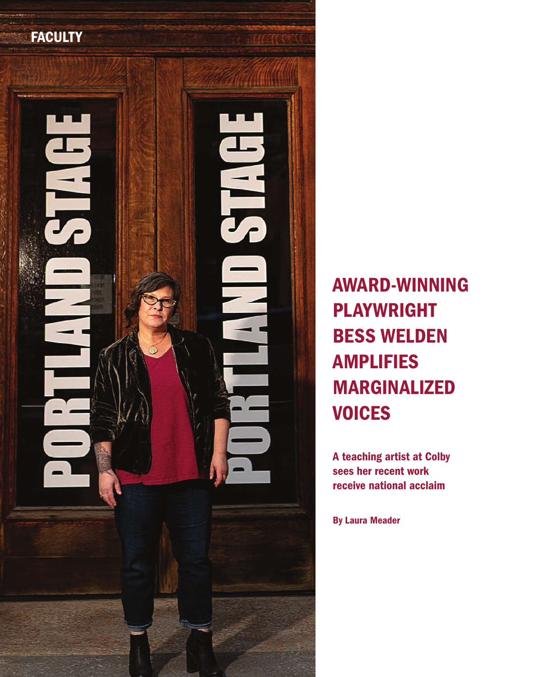

AWARD-WINNING PLAYWRIGHT BESS WELDEN AMPLIFIES MARGINALIZED **VOICES** 

A teaching artist at Colby sees her recent work receive national acclaim

By Laura Meader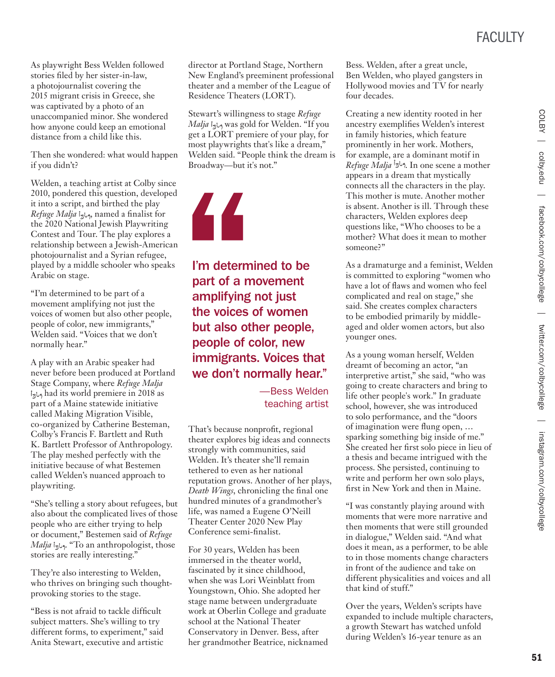FACULTY

As playwright Bess Welden followed stories filed by her sister-in-law, a photojournalist covering the 2015 migrant crisis in Greece, she was captivated by a photo of an unaccompanied minor. She wondered how anyone could keep an emotional distance from a child like this.

Then she wondered: what would happen if you didn't?

Welden, a teaching artist at Colby since 2010, pondered this question, developed it into a script, and birthed the play *Refuge Malja i<sub>3</sub>* $\mu$ <sub>3</sub>, named a finalist for the 2020 National Jewish Playwriting Contest and Tour. The play explores a relationship between a Jewish-American photojournalist and a Syrian refugee, played by a middle schooler who speaks Arabic on stage.

"I'm determined to be part of a movement amplifying not just the voices of women but also other people, people of color, new immigrants," Welden said. "Voices that we don't normally hear."

A play with an Arabic speaker had never before been produced at Portland Stage Company, where *Refuge Malja* had its world premiere in 2018 as part of a Maine statewide initiative called Making Migration Visible, co-organized by Catherine Besteman, Colby's Francis F. Bartlett and Ruth K. Bartlett Professor of Anthropology. The play meshed perfectly with the initiative because of what Bestemen called Welden's nuanced approach to playwriting.

"She's telling a story about refugees, but also about the complicated lives of those people who are either trying to help or document," Bestemen said of *Refuge Malja* i<sub>3</sub><sub>b9</sub>. "To an anthropologist, those stories are really interesting."

They're also interesting to Welden, who thrives on bringing such thoughtprovoking stories to the stage.

"Bess is not afraid to tackle difficult subject matters. She's willing to try different forms, to experiment," said Anita Stewart, executive and artistic

director at Portland Stage, Northern New England's preeminent professional theater and a member of the League of Residence Theaters (LORT).

Stewart's willingness to stage *Refuge Malja* was gold for Welden. "If you get a LORT premiere of your play, for most playwrights that's like a dream," Welden said. "People think the dream is Broadway—but it's not."



I'm determined to be part of a movement amplifying not just the voices of women but also other people, people of color, new immigrants. Voices that we don't normally hear."

> —Bess Welden teaching artist

That's because nonprofit, regional theater explores big ideas and connects strongly with communities, said Welden. It's theater she'll remain tethered to even as her national reputation grows. Another of her plays, *Death Wings*, chronicling the final one hundred minutes of a grandmother's life, was named a Eugene O'Neill Theater Center 2020 New Play Conference semi-finalist.

For 30 years, Welden has been immersed in the theater world, fascinated by it since childhood, when she was Lori Weinblatt from Youngstown, Ohio. She adopted her stage name between undergraduate work at Oberlin College and graduate school at the National Theater Conservatory in Denver. Bess, after her grandmother Beatrice, nicknamed Bess. Welden, after a great uncle, Ben Welden, who played gangsters in Hollywood movies and TV for nearly four decades.

Creating a new identity rooted in her ancestry exemplifies Welden's interest in family histories, which feature prominently in her work. Mothers, for example, are a dominant motif in *Refuge Malja* . In one scene a mother appears in a dream that mystically connects all the characters in the play. This mother is mute. Another mother is absent. Another is ill. Through these characters, Welden explores deep questions like, "Who chooses to be a mother? What does it mean to mother someone?"

As a dramaturge and a feminist, Welden is committed to exploring "women who have a lot of flaws and women who feel complicated and real on stage," she said. She creates complex characters to be embodied primarily by middleaged and older women actors, but also younger ones.

As a young woman herself, Welden dreamt of becoming an actor, "an interpretive artist," she said, "who was going to create characters and bring to life other people's work." In graduate school, however, she was introduced to solo performance, and the "doors of imagination were flung open, … sparking something big inside of me." She created her first solo piece in lieu of a thesis and became intrigued with the process. She persisted, continuing to write and perform her own solo plays, first in New York and then in Maine.

"I was constantly playing around with moments that were more narrative and then moments that were still grounded in dialogue," Welden said. "And what does it mean, as a performer, to be able to in those moments change characters in front of the audience and take on different physicalities and voices and all that kind of stuff."

Over the years, Welden's scripts have expanded to include multiple characters, a growth Stewart has watched unfold during Welden's 16-year tenure as an